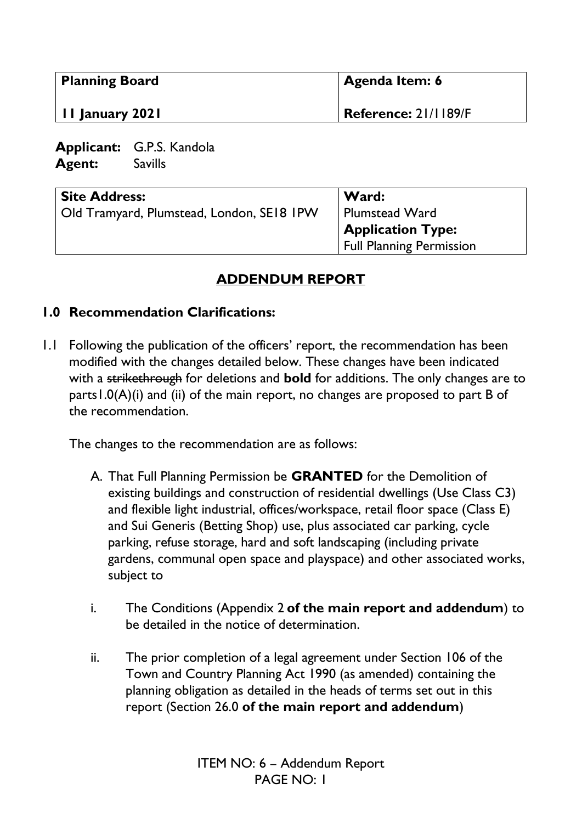| <b>Planning Board</b><br>II January 2021                          |  | Agenda Item: 6<br><b>Reference: 21/1189/F</b>              |  |  |
|-------------------------------------------------------------------|--|------------------------------------------------------------|--|--|
|                                                                   |  |                                                            |  |  |
| <b>Site Address:</b><br>Old Tramyard, Plumstead, London, SE18 IPW |  | Ward:<br><b>Plumstead Ward</b><br><b>Application Type:</b> |  |  |

# **ADDENDUM REPORT**

Full Planning Permission

#### **1.0 Recommendation Clarifications:**

1.1 Following the publication of the officers' report, the recommendation has been modified with the changes detailed below. These changes have been indicated with a strikethrough for deletions and **bold** for additions. The only changes are to parts1.0(A)(i) and (ii) of the main report, no changes are proposed to part B of the recommendation.

The changes to the recommendation are as follows:

- A. That Full Planning Permission be **GRANTED** for the Demolition of existing buildings and construction of residential dwellings (Use Class C3) and flexible light industrial, offices/workspace, retail floor space (Class E) and Sui Generis (Betting Shop) use, plus associated car parking, cycle parking, refuse storage, hard and soft landscaping (including private gardens, communal open space and playspace) and other associated works, subject to
- i. The Conditions (Appendix 2 **of the main report and addendum**) to be detailed in the notice of determination.
- ii. The prior completion of a legal agreement under Section 106 of the Town and Country Planning Act 1990 (as amended) containing the planning obligation as detailed in the heads of terms set out in this report (Section 26.0 **of the main report and addendum**)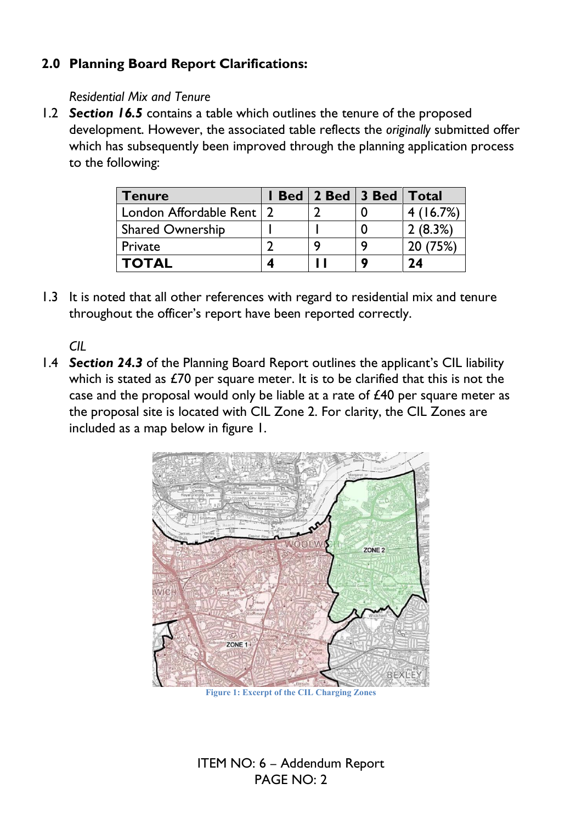# **2.0 Planning Board Report Clarifications:**

#### *Residential Mix and Tenure*

1.2 *Section 16.5* contains a table which outlines the tenure of the proposed development. However, the associated table reflects the *originally* submitted offer which has subsequently been improved through the planning application process to the following:

| Tenure                     | Bed   2 Bed   3 Bed   Total |         |
|----------------------------|-----------------------------|---------|
| London Affordable Rent   2 |                             | (16.7%) |
| <b>Shared Ownership</b>    |                             | 2(8.3%) |
| Private                    |                             | '5%)    |
| <b>TOTAL</b>               |                             | 74      |

1.3 It is noted that all other references with regard to residential mix and tenure throughout the officer's report have been reported correctly.

*CIL* 

1.4 *Section 24.3* of the Planning Board Report outlines the applicant's CIL liability which is stated as £70 per square meter. It is to be clarified that this is not the case and the proposal would only be liable at a rate of £40 per square meter as the proposal site is located with CIL Zone 2. For clarity, the CIL Zones are included as a map below in figure 1.



**Figure 1: Excerpt of the CIL Charging Zones**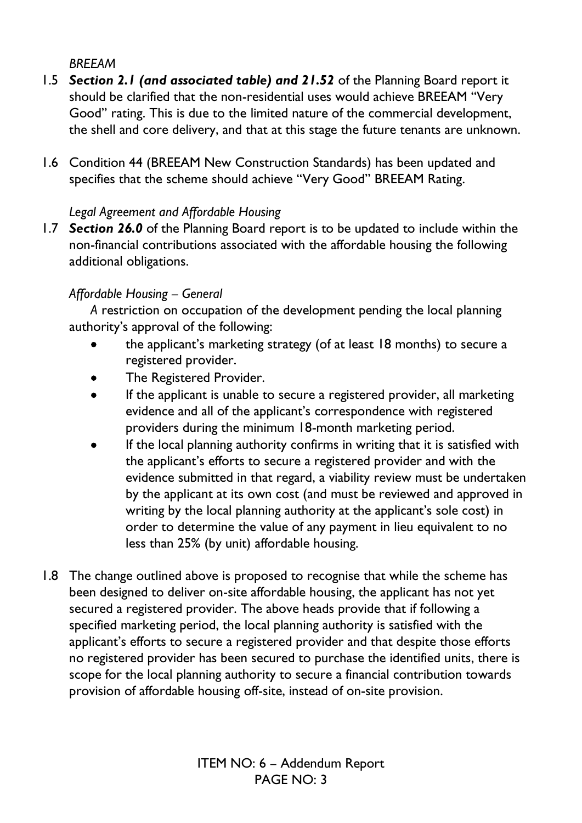### *BREEAM*

- 1.5 *Section 2.1 (and associated table) and 21.52* of the Planning Board report it should be clarified that the non-residential uses would achieve BREEAM "Very Good" rating. This is due to the limited nature of the commercial development, the shell and core delivery, and that at this stage the future tenants are unknown.
- 1.6 Condition 44 (BREEAM New Construction Standards) has been updated and specifies that the scheme should achieve "Very Good" BREEAM Rating.

#### *Legal Agreement and Affordable Housing*

1.7 *Section 26.0* of the Planning Board report is to be updated to include within the non-financial contributions associated with the affordable housing the following additional obligations.

#### *Affordable Housing – General*

*A* restriction on occupation of the development pending the local planning authority's approval of the following:

- the applicant's marketing strategy (of at least 18 months) to secure a registered provider.
- The Registered Provider.
- If the applicant is unable to secure a registered provider, all marketing evidence and all of the applicant's correspondence with registered providers during the minimum 18-month marketing period.
- If the local planning authority confirms in writing that it is satisfied with the applicant's efforts to secure a registered provider and with the evidence submitted in that regard, a viability review must be undertaken by the applicant at its own cost (and must be reviewed and approved in writing by the local planning authority at the applicant's sole cost) in order to determine the value of any payment in lieu equivalent to no less than 25% (by unit) affordable housing.
- 1.8 The change outlined above is proposed to recognise that while the scheme has been designed to deliver on-site affordable housing, the applicant has not yet secured a registered provider. The above heads provide that if following a specified marketing period, the local planning authority is satisfied with the applicant's efforts to secure a registered provider and that despite those efforts no registered provider has been secured to purchase the identified units, there is scope for the local planning authority to secure a financial contribution towards provision of affordable housing off-site, instead of on-site provision.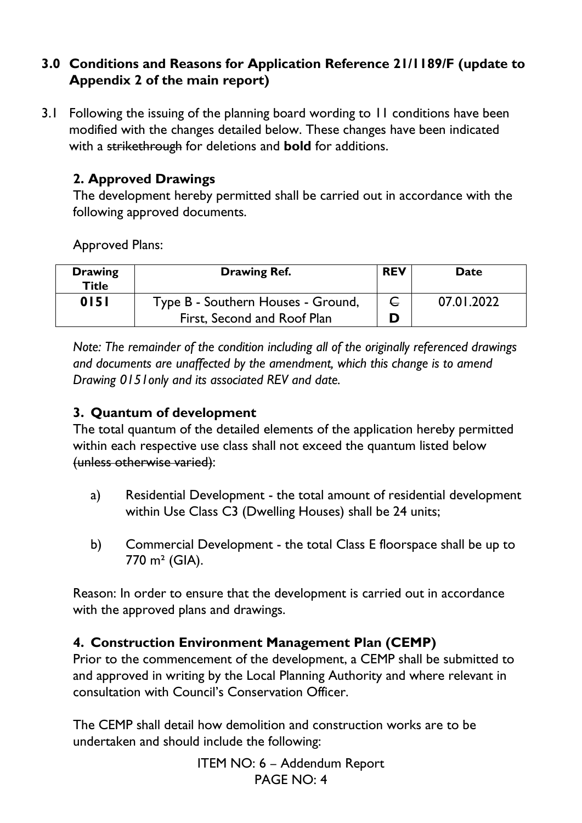### **3.0 Conditions and Reasons for Application Reference 21/1189/F (update to Appendix 2 of the main report)**

3.1 Following the issuing of the planning board wording to 11 conditions have been modified with the changes detailed below. These changes have been indicated with a strikethrough for deletions and **bold** for additions.

### **2. Approved Drawings**

The development hereby permitted shall be carried out in accordance with the following approved documents.

Approved Plans:

| <b>Drawing</b><br><b>Title</b> | <b>Drawing Ref.</b>                | <b>REV</b>   | <b>Date</b> |
|--------------------------------|------------------------------------|--------------|-------------|
| 0151                           | Type B - Southern Houses - Ground, | $\mathsf{C}$ | 07.01.2022  |
|                                | First, Second and Roof Plan        |              |             |

*Note: The remainder of the condition including all of the originally referenced drawings and documents are unaffected by the amendment, which this change is to amend Drawing 0151only and its associated REV and date.* 

#### **3. Quantum of development**

The total quantum of the detailed elements of the application hereby permitted within each respective use class shall not exceed the quantum listed below (unless otherwise varied):

- a) Residential Development the total amount of residential development within Use Class C3 (Dwelling Houses) shall be 24 units;
- b) Commercial Development the total Class E floorspace shall be up to 770 m² (GIA).

Reason: In order to ensure that the development is carried out in accordance with the approved plans and drawings.

### **4. Construction Environment Management Plan (CEMP)**

Prior to the commencement of the development, a CEMP shall be submitted to and approved in writing by the Local Planning Authority and where relevant in consultation with Council's Conservation Officer.

The CEMP shall detail how demolition and construction works are to be undertaken and should include the following: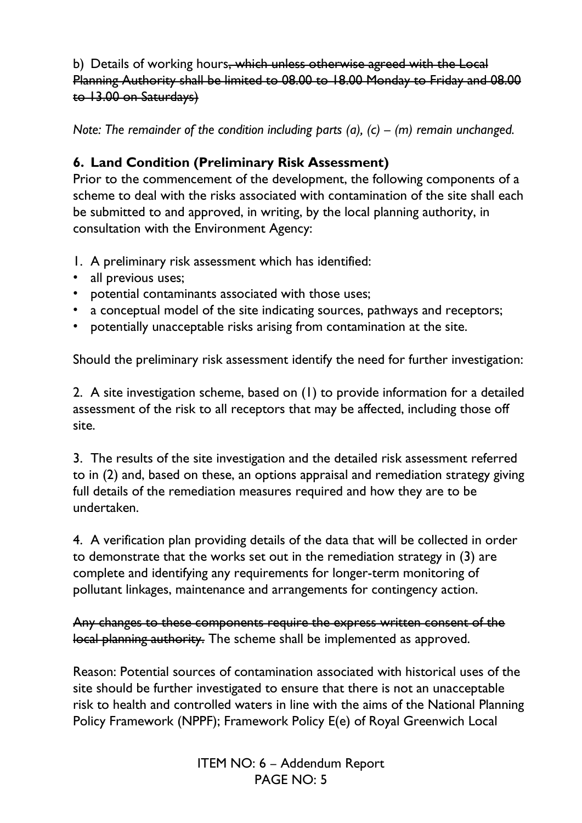b) Details of working hours, which unless otherwise agreed with the Local Planning Authority shall be limited to 08.00 to 18.00 Monday to Friday and 08.00 to 13.00 on Saturdays)

*Note: The remainder of the condition including parts (a), (c) – (m) remain unchanged.* 

# **6. Land Condition (Preliminary Risk Assessment)**

Prior to the commencement of the development, the following components of a scheme to deal with the risks associated with contamination of the site shall each be submitted to and approved, in writing, by the local planning authority, in consultation with the Environment Agency:

- 1. A preliminary risk assessment which has identified:
- all previous uses;
- potential contaminants associated with those uses;
- a conceptual model of the site indicating sources, pathways and receptors;
- potentially unacceptable risks arising from contamination at the site.

Should the preliminary risk assessment identify the need for further investigation:

2. A site investigation scheme, based on (1) to provide information for a detailed assessment of the risk to all receptors that may be affected, including those off site.

3. The results of the site investigation and the detailed risk assessment referred to in (2) and, based on these, an options appraisal and remediation strategy giving full details of the remediation measures required and how they are to be undertaken.

4. A verification plan providing details of the data that will be collected in order to demonstrate that the works set out in the remediation strategy in (3) are complete and identifying any requirements for longer-term monitoring of pollutant linkages, maintenance and arrangements for contingency action.

Any changes to these components require the express written consent of the local planning authority. The scheme shall be implemented as approved.

Reason: Potential sources of contamination associated with historical uses of the site should be further investigated to ensure that there is not an unacceptable risk to health and controlled waters in line with the aims of the National Planning Policy Framework (NPPF); Framework Policy E(e) of Royal Greenwich Local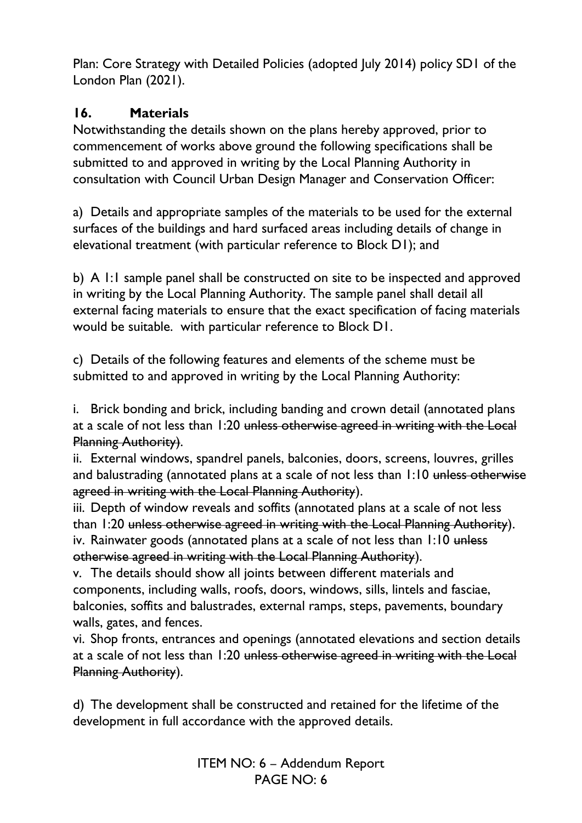Plan: Core Strategy with Detailed Policies (adopted July 2014) policy SD1 of the London Plan (2021).

### **16. Materials**

Notwithstanding the details shown on the plans hereby approved, prior to commencement of works above ground the following specifications shall be submitted to and approved in writing by the Local Planning Authority in consultation with Council Urban Design Manager and Conservation Officer:

a) Details and appropriate samples of the materials to be used for the external surfaces of the buildings and hard surfaced areas including details of change in elevational treatment (with particular reference to Block D1); and

b) A 1:1 sample panel shall be constructed on site to be inspected and approved in writing by the Local Planning Authority. The sample panel shall detail all external facing materials to ensure that the exact specification of facing materials would be suitable. with particular reference to Block D1.

c) Details of the following features and elements of the scheme must be submitted to and approved in writing by the Local Planning Authority:

i. Brick bonding and brick, including banding and crown detail (annotated plans at a scale of not less than 1:20 unless otherwise agreed in writing with the Local Planning Authority).

ii. External windows, spandrel panels, balconies, doors, screens, louvres, grilles and balustrading (annotated plans at a scale of not less than  $1:10$  unless otherwise agreed in writing with the Local Planning Authority).

iii. Depth of window reveals and soffits (annotated plans at a scale of not less than 1:20 unless otherwise agreed in writing with the Local Planning Authority). iv. Rainwater goods (annotated plans at a scale of not less than 1:10 unless otherwise agreed in writing with the Local Planning Authority).

v. The details should show all joints between different materials and components, including walls, roofs, doors, windows, sills, lintels and fasciae, balconies, soffits and balustrades, external ramps, steps, pavements, boundary walls, gates, and fences.

vi. Shop fronts, entrances and openings (annotated elevations and section details at a scale of not less than 1:20 unless otherwise agreed in writing with the Local Planning Authority).

d) The development shall be constructed and retained for the lifetime of the development in full accordance with the approved details.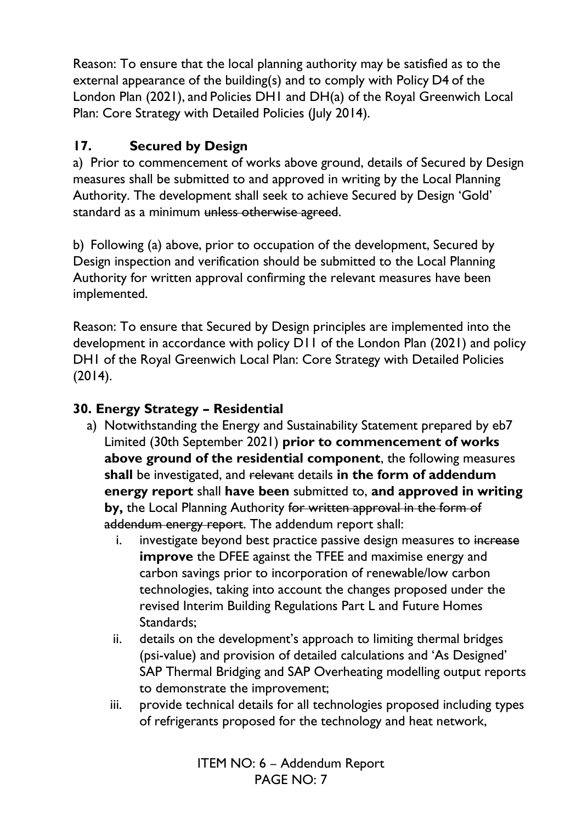Reason: To ensure that the local planning authority may be satisfied as to the external appearance of the building(s) and to comply with Policy D4 of the London Plan (2021), and Policies DH1 and DH(a) of the Royal Greenwich Local Plan: Core Strategy with Detailed Policies (July 2014).

# **17. Secured by Design**

a) Prior to commencement of works above ground, details of Secured by Design measures shall be submitted to and approved in writing by the Local Planning Authority. The development shall seek to achieve Secured by Design 'Gold' standard as a minimum unless otherwise agreed.

b) Following (a) above, prior to occupation of the development, Secured by Design inspection and verification should be submitted to the Local Planning Authority for written approval confirming the relevant measures have been implemented.

Reason: To ensure that Secured by Design principles are implemented into the development in accordance with policy D11 of the London Plan (2021) and policy DH1 of the Royal Greenwich Local Plan: Core Strategy with Detailed Policies (2014).

# **30. Energy Strategy – Residential**

- a) Notwithstanding the Energy and Sustainability Statement prepared by eb7 Limited (30th September 2021) **prior to commencement of works above ground of the residential component**, the following measures **shall** be investigated, and relevant details **in the form of addendum energy report** shall **have been** submitted to, **and approved in writing by,** the Local Planning Authority for written approval in the form of addendum energy report. The addendum report shall:
	- i. investigate beyond best practice passive design measures to increase **improve** the DFEE against the TFEE and maximise energy and carbon savings prior to incorporation of renewable/low carbon technologies, taking into account the changes proposed under the revised Interim Building Regulations Part L and Future Homes Standards;
	- ii. details on the development's approach to limiting thermal bridges (psi-value) and provision of detailed calculations and 'As Designed' SAP Thermal Bridging and SAP Overheating modelling output reports to demonstrate the improvement;
	- iii. provide technical details for all technologies proposed including types of refrigerants proposed for the technology and heat network,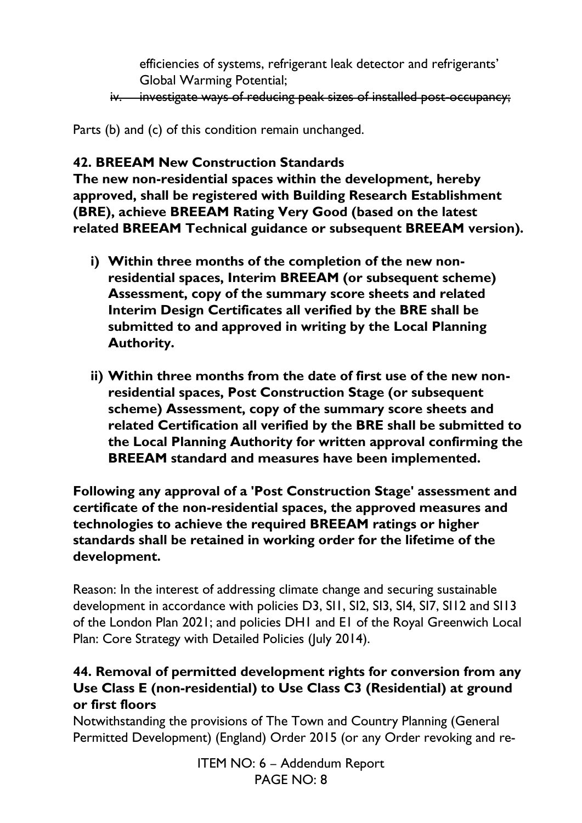efficiencies of systems, refrigerant leak detector and refrigerants' Global Warming Potential;

iv. investigate ways of reducing peak sizes of installed post-occupancy;

Parts (b) and (c) of this condition remain unchanged.

### **42. BREEAM New Construction Standards**

**The new non-residential spaces within the development, hereby approved, shall be registered with Building Research Establishment (BRE), achieve BREEAM Rating Very Good (based on the latest related BREEAM Technical guidance or subsequent BREEAM version).** 

- **i) Within three months of the completion of the new nonresidential spaces, Interim BREEAM (or subsequent scheme) Assessment, copy of the summary score sheets and related Interim Design Certificates all verified by the BRE shall be submitted to and approved in writing by the Local Planning Authority.**
- **ii) Within three months from the date of first use of the new nonresidential spaces, Post Construction Stage (or subsequent scheme) Assessment, copy of the summary score sheets and related Certification all verified by the BRE shall be submitted to the Local Planning Authority for written approval confirming the BREEAM standard and measures have been implemented.**

**Following any approval of a 'Post Construction Stage' assessment and certificate of the non-residential spaces, the approved measures and technologies to achieve the required BREEAM ratings or higher standards shall be retained in working order for the lifetime of the development.** 

Reason: In the interest of addressing climate change and securing sustainable development in accordance with policies D3, SI1, SI2, SI3, SI4, SI7, SI12 and SI13 of the London Plan 2021; and policies DH1 and E1 of the Royal Greenwich Local Plan: Core Strategy with Detailed Policies (July 2014).

### **44. Removal of permitted development rights for conversion from any Use Class E (non-residential) to Use Class C3 (Residential) at ground or first floors**

Notwithstanding the provisions of The Town and Country Planning (General Permitted Development) (England) Order 2015 (or any Order revoking and re-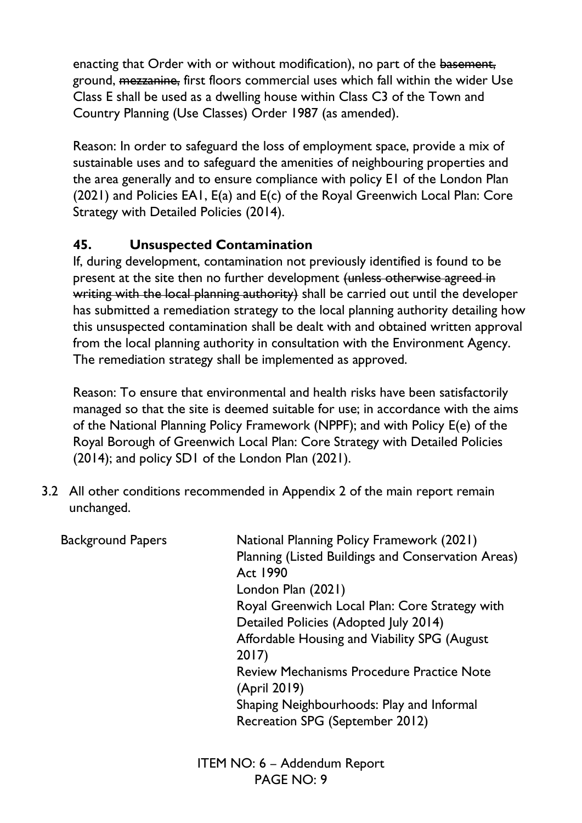enacting that Order with or without modification), no part of the basement, ground, mezzanine, first floors commercial uses which fall within the wider Use Class E shall be used as a dwelling house within Class C3 of the Town and Country Planning (Use Classes) Order 1987 (as amended).

Reason: In order to safeguard the loss of employment space, provide a mix of sustainable uses and to safeguard the amenities of neighbouring properties and the area generally and to ensure compliance with policy E1 of the London Plan (2021) and Policies EA1, E(a) and E(c) of the Royal Greenwich Local Plan: Core Strategy with Detailed Policies (2014).

# **45. Unsuspected Contamination**

If, during development, contamination not previously identified is found to be present at the site then no further development (unless otherwise agreed in writing with the local planning authority) shall be carried out until the developer has submitted a remediation strategy to the local planning authority detailing how this unsuspected contamination shall be dealt with and obtained written approval from the local planning authority in consultation with the Environment Agency. The remediation strategy shall be implemented as approved.

Reason: To ensure that environmental and health risks have been satisfactorily managed so that the site is deemed suitable for use; in accordance with the aims of the National Planning Policy Framework (NPPF); and with Policy E(e) of the Royal Borough of Greenwich Local Plan: Core Strategy with Detailed Policies (2014); and policy SD1 of the London Plan (2021).

3.2 All other conditions recommended in Appendix 2 of the main report remain unchanged.

| <b>Background Papers</b> | National Planning Policy Framework (2021)<br>Planning (Listed Buildings and Conservation Areas)<br><b>Act 1990</b> |
|--------------------------|--------------------------------------------------------------------------------------------------------------------|
|                          | London Plan (2021)                                                                                                 |
|                          | Royal Greenwich Local Plan: Core Strategy with                                                                     |
|                          | Detailed Policies (Adopted July 2014)                                                                              |
|                          | Affordable Housing and Viability SPG (August<br>2017                                                               |
|                          | <b>Review Mechanisms Procedure Practice Note</b><br>(April 2019)                                                   |
|                          | Shaping Neighbourhoods: Play and Informal                                                                          |
|                          | Recreation SPG (September 2012)                                                                                    |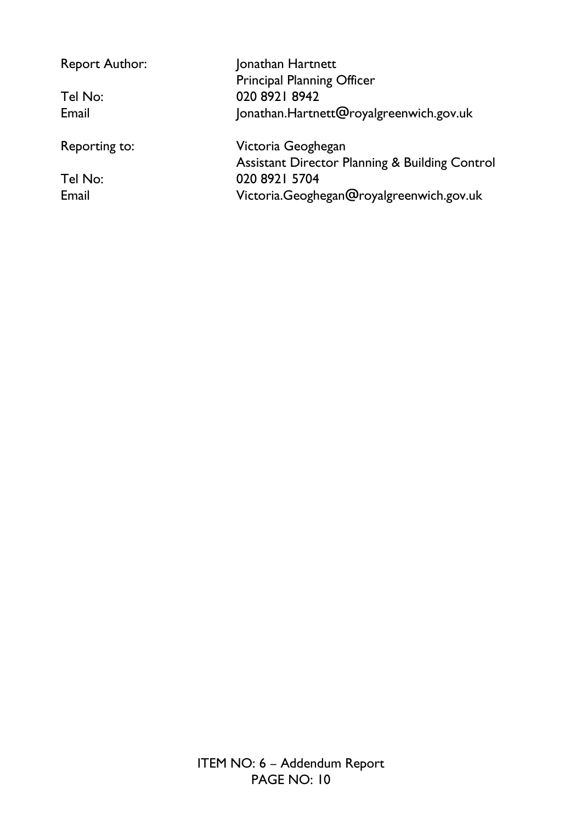| <b>Report Author:</b> | Jonathan Hartnett                                         |
|-----------------------|-----------------------------------------------------------|
|                       | <b>Principal Planning Officer</b>                         |
| Tel No:               | 020 8921 8942                                             |
| Email                 | Jonathan.Hartnett@royalgreenwich.gov.uk                   |
| Reporting to:         | Victoria Geoghegan                                        |
|                       | <b>Assistant Director Planning &amp; Building Control</b> |
| Tel No:               | 020 8921 5704                                             |
| Email                 | Victoria.Geoghegan@royalgreenwich.gov.uk                  |
|                       |                                                           |